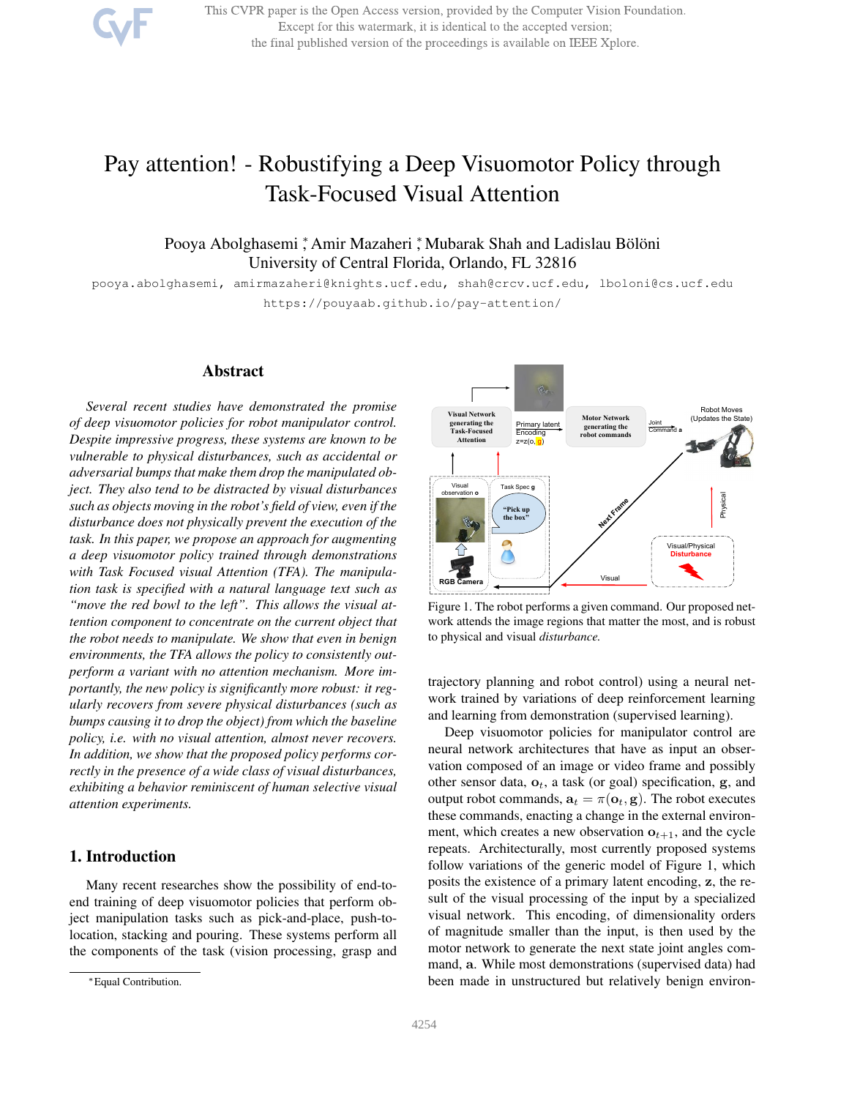This CVPR paper is the Open Access version, provided by the Computer Vision Foundation. Except for this watermark, it is identical to the accepted version; the final published version of the proceedings is available on IEEE Xplore.

# Pay attention! - Robustifying a Deep Visuomotor Policy through Task-Focused Visual Attention

# .<br>Pooya Abolghasemi ,\* Amir Mazaheri ,\* Mubarak Shah and Ladislau Bölöni University of Central Florida, Orlando, FL 32816

pooya.abolghasemi, amirmazaheri@knights.ucf.edu, shah@crcv.ucf.edu, lboloni@cs.ucf.edu https://pouyaab.github.io/pay-attention/

## Abstract

*Several recent studies have demonstrated the promise of deep visuomotor policies for robot manipulator control. Despite impressive progress, these systems are known to be vulnerable to physical disturbances, such as accidental or adversarial bumps that make them drop the manipulated object. They also tend to be distracted by visual disturbances such as objects moving in the robot's field of view, even if the disturbance does not physically prevent the execution of the task. In this paper, we propose an approach for augmenting a deep visuomotor policy trained through demonstrations with Task Focused visual Attention (TFA). The manipulation task is specified with a natural language text such as "move the red bowl to the left". This allows the visual attention component to concentrate on the current object that the robot needs to manipulate. We show that even in benign environments, the TFA allows the policy to consistently outperform a variant with no attention mechanism. More importantly, the new policy is significantly more robust: it regularly recovers from severe physical disturbances (such as bumps causing it to drop the object) from which the baseline policy, i.e. with no visual attention, almost never recovers. In addition, we show that the proposed policy performs correctly in the presence of a wide class of visual disturbances, exhibiting a behavior reminiscent of human selective visual attention experiments.*

# 1. Introduction

Many recent researches show the possibility of end-toend training of deep visuomotor policies that perform object manipulation tasks such as pick-and-place, push-tolocation, stacking and pouring. These systems perform all the components of the task (vision processing, grasp and



Figure 1. The robot performs a given command. Our proposed network attends the image regions that matter the most, and is robust to physical and visual *disturbance.*

trajectory planning and robot control) using a neural network trained by variations of deep reinforcement learning and learning from demonstration (supervised learning).

Deep visuomotor policies for manipulator control are neural network architectures that have as input an observation composed of an image or video frame and possibly other sensor data,  $o_t$ , a task (or goal) specification, g, and output robot commands,  $\mathbf{a}_t = \pi(\mathbf{o}_t, \mathbf{g})$ . The robot executes these commands, enacting a change in the external environment, which creates a new observation  $o_{t+1}$ , and the cycle repeats. Architecturally, most currently proposed systems follow variations of the generic model of Figure 1, which posits the existence of a primary latent encoding, z, the result of the visual processing of the input by a specialized visual network. This encoding, of dimensionality orders of magnitude smaller than the input, is then used by the motor network to generate the next state joint angles command, a. While most demonstrations (supervised data) had been made in unstructured but relatively benign environ-

<sup>∗</sup>Equal Contribution.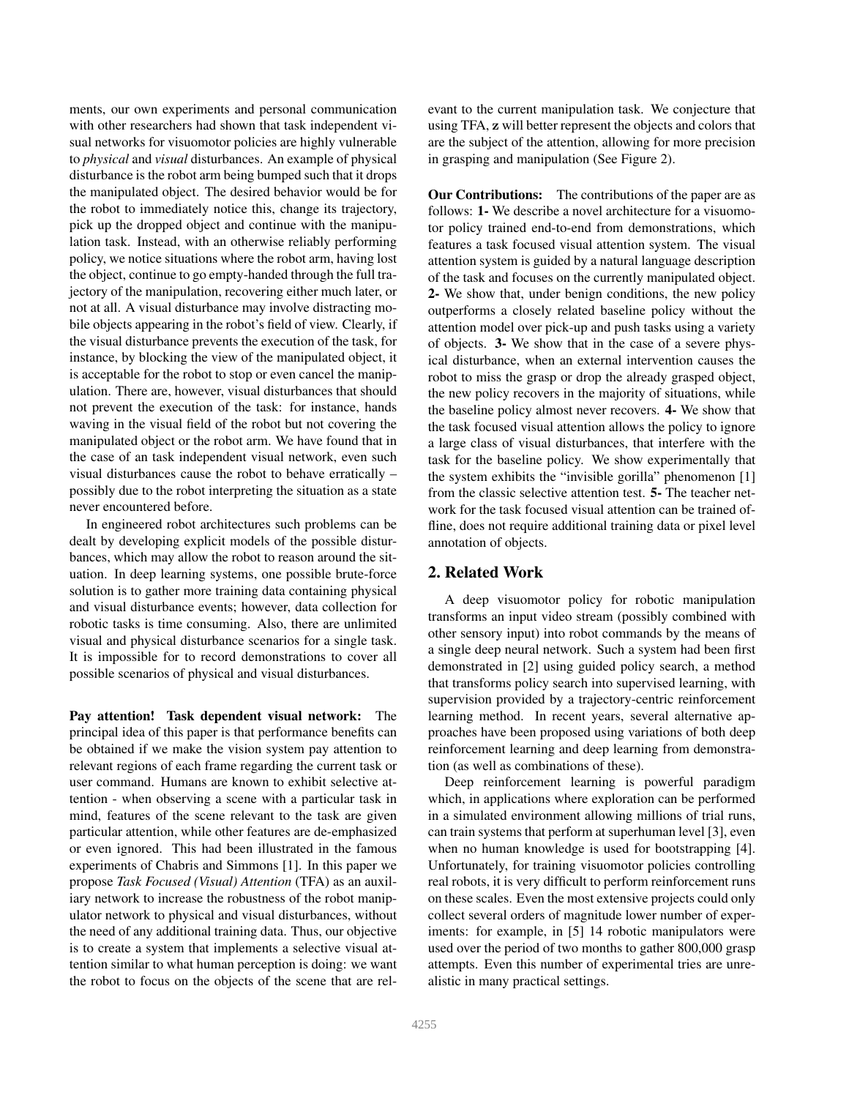ments, our own experiments and personal communication with other researchers had shown that task independent visual networks for visuomotor policies are highly vulnerable to *physical* and *visual* disturbances. An example of physical disturbance is the robot arm being bumped such that it drops the manipulated object. The desired behavior would be for the robot to immediately notice this, change its trajectory, pick up the dropped object and continue with the manipulation task. Instead, with an otherwise reliably performing policy, we notice situations where the robot arm, having lost the object, continue to go empty-handed through the full trajectory of the manipulation, recovering either much later, or not at all. A visual disturbance may involve distracting mobile objects appearing in the robot's field of view. Clearly, if the visual disturbance prevents the execution of the task, for instance, by blocking the view of the manipulated object, it is acceptable for the robot to stop or even cancel the manipulation. There are, however, visual disturbances that should not prevent the execution of the task: for instance, hands waving in the visual field of the robot but not covering the manipulated object or the robot arm. We have found that in the case of an task independent visual network, even such visual disturbances cause the robot to behave erratically – possibly due to the robot interpreting the situation as a state never encountered before.

In engineered robot architectures such problems can be dealt by developing explicit models of the possible disturbances, which may allow the robot to reason around the situation. In deep learning systems, one possible brute-force solution is to gather more training data containing physical and visual disturbance events; however, data collection for robotic tasks is time consuming. Also, there are unlimited visual and physical disturbance scenarios for a single task. It is impossible for to record demonstrations to cover all possible scenarios of physical and visual disturbances.

Pay attention! Task dependent visual network: The principal idea of this paper is that performance benefits can be obtained if we make the vision system pay attention to relevant regions of each frame regarding the current task or user command. Humans are known to exhibit selective attention - when observing a scene with a particular task in mind, features of the scene relevant to the task are given particular attention, while other features are de-emphasized or even ignored. This had been illustrated in the famous experiments of Chabris and Simmons [1]. In this paper we propose *Task Focused (Visual) Attention* (TFA) as an auxiliary network to increase the robustness of the robot manipulator network to physical and visual disturbances, without the need of any additional training data. Thus, our objective is to create a system that implements a selective visual attention similar to what human perception is doing: we want the robot to focus on the objects of the scene that are relevant to the current manipulation task. We conjecture that using TFA, z will better represent the objects and colors that are the subject of the attention, allowing for more precision in grasping and manipulation (See Figure 2).

Our Contributions: The contributions of the paper are as follows: 1- We describe a novel architecture for a visuomotor policy trained end-to-end from demonstrations, which features a task focused visual attention system. The visual attention system is guided by a natural language description of the task and focuses on the currently manipulated object. 2- We show that, under benign conditions, the new policy outperforms a closely related baseline policy without the attention model over pick-up and push tasks using a variety of objects. 3- We show that in the case of a severe physical disturbance, when an external intervention causes the robot to miss the grasp or drop the already grasped object, the new policy recovers in the majority of situations, while the baseline policy almost never recovers. 4- We show that the task focused visual attention allows the policy to ignore a large class of visual disturbances, that interfere with the task for the baseline policy. We show experimentally that the system exhibits the "invisible gorilla" phenomenon [1] from the classic selective attention test. 5- The teacher network for the task focused visual attention can be trained offline, does not require additional training data or pixel level annotation of objects.

# 2. Related Work

A deep visuomotor policy for robotic manipulation transforms an input video stream (possibly combined with other sensory input) into robot commands by the means of a single deep neural network. Such a system had been first demonstrated in [2] using guided policy search, a method that transforms policy search into supervised learning, with supervision provided by a trajectory-centric reinforcement learning method. In recent years, several alternative approaches have been proposed using variations of both deep reinforcement learning and deep learning from demonstration (as well as combinations of these).

Deep reinforcement learning is powerful paradigm which, in applications where exploration can be performed in a simulated environment allowing millions of trial runs, can train systems that perform at superhuman level [3], even when no human knowledge is used for bootstrapping [4]. Unfortunately, for training visuomotor policies controlling real robots, it is very difficult to perform reinforcement runs on these scales. Even the most extensive projects could only collect several orders of magnitude lower number of experiments: for example, in [5] 14 robotic manipulators were used over the period of two months to gather 800,000 grasp attempts. Even this number of experimental tries are unrealistic in many practical settings.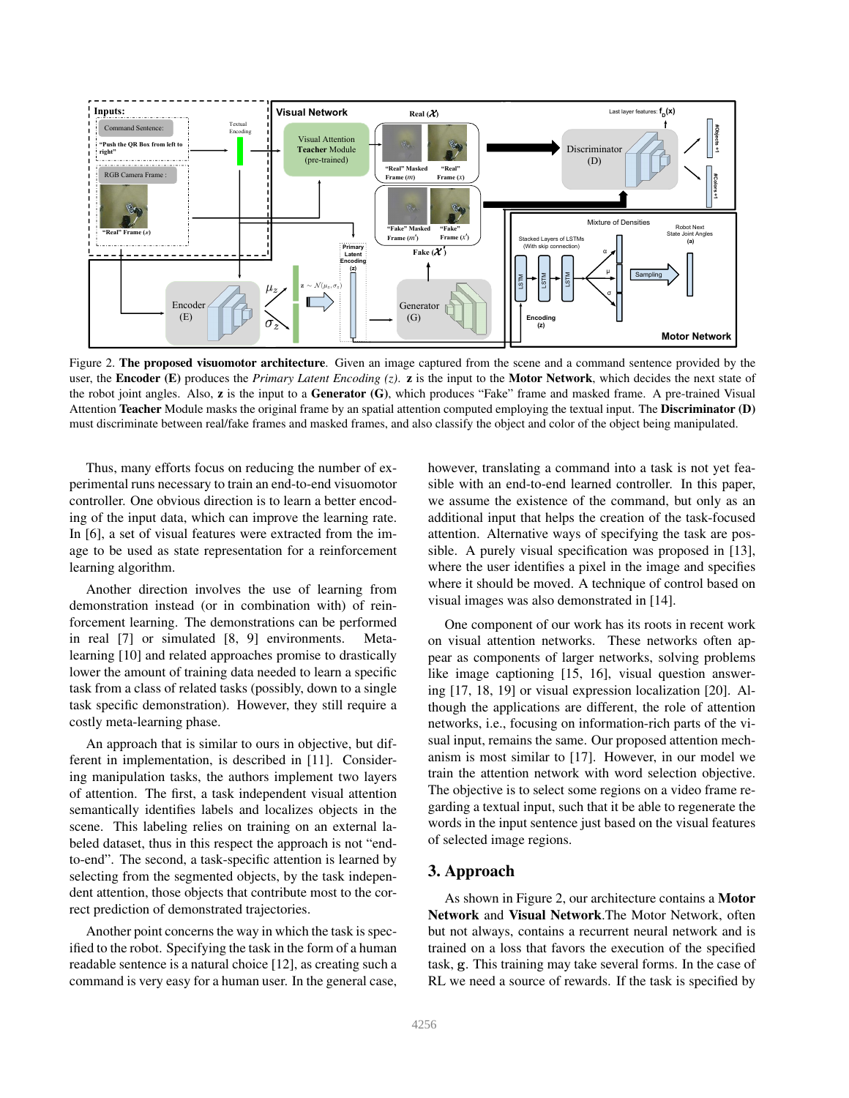

Figure 2. The proposed visuomotor architecture. Given an image captured from the scene and a command sentence provided by the user, the **Encoder (E)** produces the *Primary Latent Encoding (z)*. **z** is the input to the **Motor Network**, which decides the next state of the robot joint angles. Also,  $z$  is the input to a Generator (G), which produces "Fake" frame and masked frame. A pre-trained Visual Attention Teacher Module masks the original frame by an spatial attention computed employing the textual input. The Discriminator (D) must discriminate between real/fake frames and masked frames, and also classify the object and color of the object being manipulated.

Thus, many efforts focus on reducing the number of experimental runs necessary to train an end-to-end visuomotor controller. One obvious direction is to learn a better encoding of the input data, which can improve the learning rate. In [6], a set of visual features were extracted from the image to be used as state representation for a reinforcement learning algorithm.

Another direction involves the use of learning from demonstration instead (or in combination with) of reinforcement learning. The demonstrations can be performed in real [7] or simulated [8, 9] environments. Metalearning [10] and related approaches promise to drastically lower the amount of training data needed to learn a specific task from a class of related tasks (possibly, down to a single task specific demonstration). However, they still require a costly meta-learning phase.

An approach that is similar to ours in objective, but different in implementation, is described in [11]. Considering manipulation tasks, the authors implement two layers of attention. The first, a task independent visual attention semantically identifies labels and localizes objects in the scene. This labeling relies on training on an external labeled dataset, thus in this respect the approach is not "endto-end". The second, a task-specific attention is learned by selecting from the segmented objects, by the task independent attention, those objects that contribute most to the correct prediction of demonstrated trajectories.

Another point concerns the way in which the task is specified to the robot. Specifying the task in the form of a human readable sentence is a natural choice [12], as creating such a command is very easy for a human user. In the general case,

however, translating a command into a task is not yet feasible with an end-to-end learned controller. In this paper, we assume the existence of the command, but only as an additional input that helps the creation of the task-focused attention. Alternative ways of specifying the task are possible. A purely visual specification was proposed in [13], where the user identifies a pixel in the image and specifies where it should be moved. A technique of control based on visual images was also demonstrated in [14].

One component of our work has its roots in recent work on visual attention networks. These networks often appear as components of larger networks, solving problems like image captioning [15, 16], visual question answering [17, 18, 19] or visual expression localization [20]. Although the applications are different, the role of attention networks, i.e., focusing on information-rich parts of the visual input, remains the same. Our proposed attention mechanism is most similar to [17]. However, in our model we train the attention network with word selection objective. The objective is to select some regions on a video frame regarding a textual input, such that it be able to regenerate the words in the input sentence just based on the visual features of selected image regions.

# 3. Approach

As shown in Figure 2, our architecture contains a Motor Network and Visual Network.The Motor Network, often but not always, contains a recurrent neural network and is trained on a loss that favors the execution of the specified task, g. This training may take several forms. In the case of RL we need a source of rewards. If the task is specified by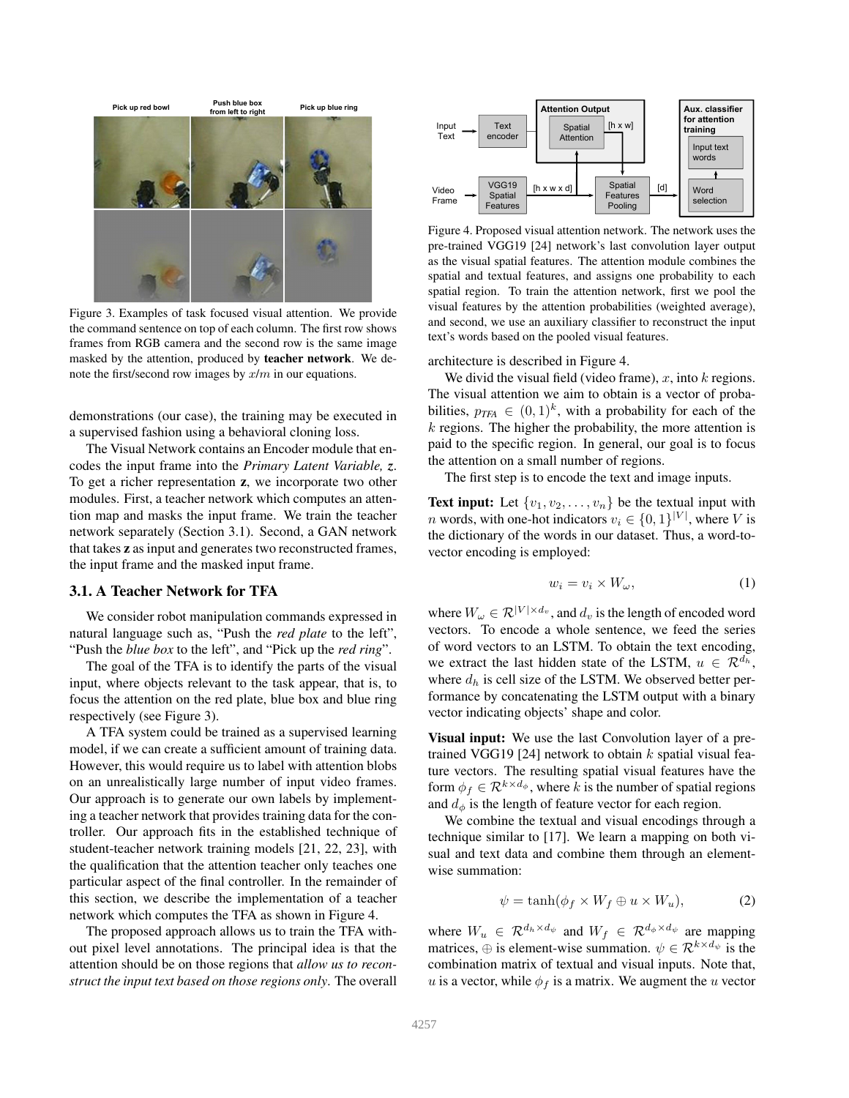

Figure 3. Examples of task focused visual attention. We provide the command sentence on top of each column. The first row shows frames from RGB camera and the second row is the same image masked by the attention, produced by teacher network. We denote the first/second row images by x/m in our equations.

demonstrations (our case), the training may be executed in a supervised fashion using a behavioral cloning loss.

The Visual Network contains an Encoder module that encodes the input frame into the *Primary Latent Variable, z*. To get a richer representation z, we incorporate two other modules. First, a teacher network which computes an attention map and masks the input frame. We train the teacher network separately (Section 3.1). Second, a GAN network that takes z as input and generates two reconstructed frames, the input frame and the masked input frame.

## 3.1. A Teacher Network for TFA

We consider robot manipulation commands expressed in natural language such as, "Push the *red plate* to the left", "Push the *blue box* to the left", and "Pick up the *red ring*".

The goal of the TFA is to identify the parts of the visual input, where objects relevant to the task appear, that is, to focus the attention on the red plate, blue box and blue ring respectively (see Figure 3).

A TFA system could be trained as a supervised learning model, if we can create a sufficient amount of training data. However, this would require us to label with attention blobs on an unrealistically large number of input video frames. Our approach is to generate our own labels by implementing a teacher network that provides training data for the controller. Our approach fits in the established technique of student-teacher network training models [21, 22, 23], with the qualification that the attention teacher only teaches one particular aspect of the final controller. In the remainder of this section, we describe the implementation of a teacher network which computes the TFA as shown in Figure 4.

The proposed approach allows us to train the TFA without pixel level annotations. The principal idea is that the attention should be on those regions that *allow us to reconstruct the input text based on those regions only*. The overall



Figure 4. Proposed visual attention network. The network uses the pre-trained VGG19 [24] network's last convolution layer output as the visual spatial features. The attention module combines the spatial and textual features, and assigns one probability to each spatial region. To train the attention network, first we pool the visual features by the attention probabilities (weighted average), and second, we use an auxiliary classifier to reconstruct the input text's words based on the pooled visual features.

architecture is described in Figure 4.

We divid the visual field (video frame),  $x$ , into  $k$  regions. The visual attention we aim to obtain is a vector of probabilities,  $p_{TFA} \in (0,1)^k$ , with a probability for each of the  $k$  regions. The higher the probability, the more attention is paid to the specific region. In general, our goal is to focus the attention on a small number of regions.

The first step is to encode the text and image inputs.

**Text input:** Let  $\{v_1, v_2, \ldots, v_n\}$  be the textual input with *n* words, with one-hot indicators  $v_i \in \{0, 1\}^{|V|}$ , where V is the dictionary of the words in our dataset. Thus, a word-tovector encoding is employed:

$$
w_i = v_i \times W_\omega,\tag{1}
$$

where  $W_{\omega} \in \mathcal{R}^{|V| \times d_v}$ , and  $d_v$  is the length of encoded word vectors. To encode a whole sentence, we feed the series of word vectors to an LSTM. To obtain the text encoding, we extract the last hidden state of the LSTM,  $u \in \mathcal{R}^{d_h}$ , where  $d_h$  is cell size of the LSTM. We observed better performance by concatenating the LSTM output with a binary vector indicating objects' shape and color.

Visual input: We use the last Convolution layer of a pretrained VGG19 [24] network to obtain  $k$  spatial visual feature vectors. The resulting spatial visual features have the form  $\phi_f \in \mathcal{R}^{k \times d_{\phi}}$ , where k is the number of spatial regions and  $d_{\phi}$  is the length of feature vector for each region.

We combine the textual and visual encodings through a technique similar to [17]. We learn a mapping on both visual and text data and combine them through an elementwise summation:

$$
\psi = \tanh(\phi_f \times W_f \oplus u \times W_u), \tag{2}
$$

where  $W_u \in \mathcal{R}^{d_h \times d_\psi}$  and  $W_f \in \mathcal{R}^{d_\phi \times d_\psi}$  are mapping matrices,  $\oplus$  is element-wise summation.  $\psi \in \mathcal{R}^{k \times d_{\psi}}$  is the combination matrix of textual and visual inputs. Note that, u is a vector, while  $\phi_f$  is a matrix. We augment the u vector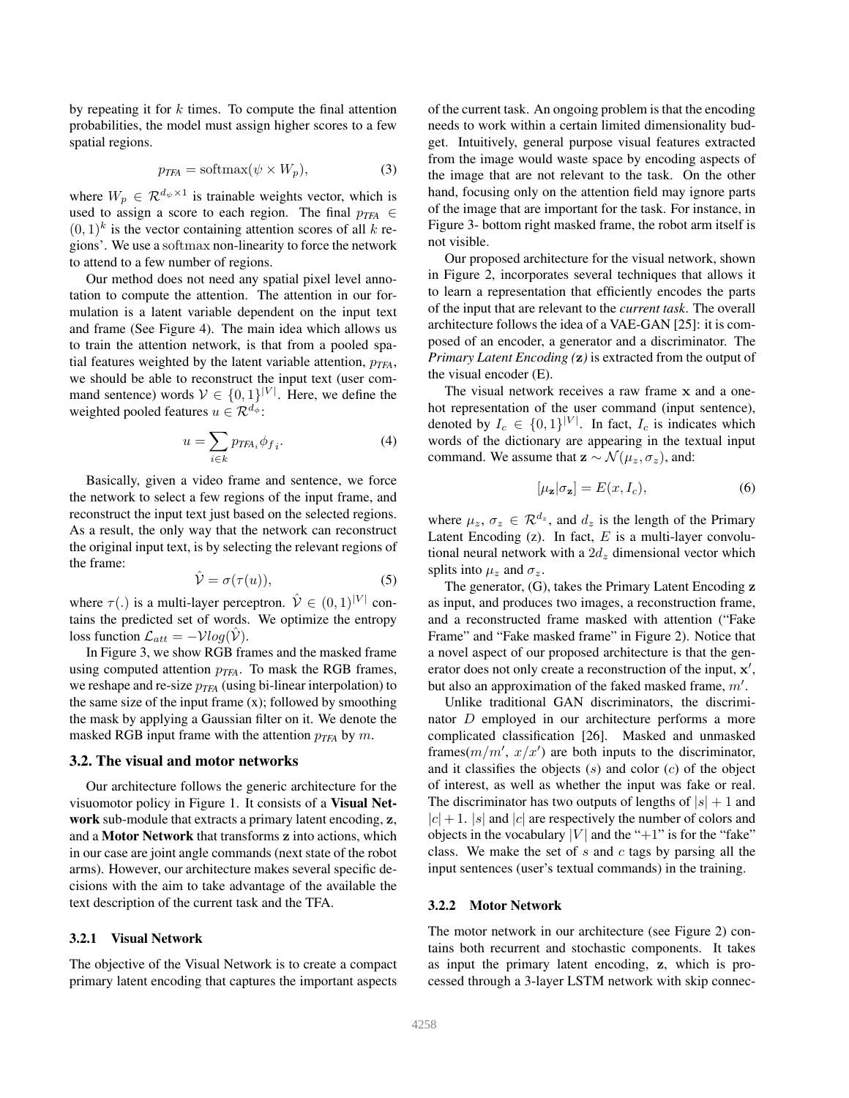by repeating it for  $k$  times. To compute the final attention probabilities, the model must assign higher scores to a few spatial regions.

$$
p_{TFA} = \text{softmax}(\psi \times W_p),\tag{3}
$$

where  $W_p \in \mathcal{R}^{d_{\psi} \times 1}$  is trainable weights vector, which is used to assign a score to each region. The final  $p_{TFA} \in$  $(0, 1)^k$  is the vector containing attention scores of all k regions'. We use a softmax non-linearity to force the network to attend to a few number of regions.

Our method does not need any spatial pixel level annotation to compute the attention. The attention in our formulation is a latent variable dependent on the input text and frame (See Figure 4). The main idea which allows us to train the attention network, is that from a pooled spatial features weighted by the latent variable attention,  $p_{TFA}$ , we should be able to reconstruct the input text (user command sentence) words  $V \in \{0, 1\}^{|V|}$ . Here, we define the weighted pooled features  $u \in \mathcal{R}^{d_{\phi}}$ :

$$
u = \sum_{i \in k} p_{TFA_i} \phi_{f_i}.
$$
 (4)

Basically, given a video frame and sentence, we force the network to select a few regions of the input frame, and reconstruct the input text just based on the selected regions. As a result, the only way that the network can reconstruct the original input text, is by selecting the relevant regions of the frame:

$$
\hat{\mathcal{V}} = \sigma(\tau(u)),\tag{5}
$$

where  $\tau(.)$  is a multi-layer perceptron.  $\hat{\mathcal{V}} \in (0,1)^{|V|}$  contains the predicted set of words. We optimize the entropy loss function  $\mathcal{L}_{att} = -\mathcal{V}log(\mathcal{V})$ .

In Figure 3, we show RGB frames and the masked frame using computed attention p*TFA*. To mask the RGB frames, we reshape and re-size p*TFA* (using bi-linear interpolation) to the same size of the input frame  $(x)$ ; followed by smoothing the mask by applying a Gaussian filter on it. We denote the masked RGB input frame with the attention  $p_{TFA}$  by m.

# 3.2. The visual and motor networks

Our architecture follows the generic architecture for the visuomotor policy in Figure 1. It consists of a Visual Network sub-module that extracts a primary latent encoding, z, and a Motor Network that transforms z into actions, which in our case are joint angle commands (next state of the robot arms). However, our architecture makes several specific decisions with the aim to take advantage of the available the text description of the current task and the TFA.

#### 3.2.1 Visual Network

The objective of the Visual Network is to create a compact primary latent encoding that captures the important aspects

of the current task. An ongoing problem is that the encoding needs to work within a certain limited dimensionality budget. Intuitively, general purpose visual features extracted from the image would waste space by encoding aspects of the image that are not relevant to the task. On the other hand, focusing only on the attention field may ignore parts of the image that are important for the task. For instance, in Figure 3- bottom right masked frame, the robot arm itself is not visible.

Our proposed architecture for the visual network, shown in Figure 2, incorporates several techniques that allows it to learn a representation that efficiently encodes the parts of the input that are relevant to the *current task*. The overall architecture follows the idea of a VAE-GAN [25]: it is composed of an encoder, a generator and a discriminator. The *Primary Latent Encoding (*z*)* is extracted from the output of the visual encoder (E).

The visual network receives a raw frame x and a onehot representation of the user command (input sentence), denoted by  $I_c \in \{0,1\}^{|V|}$ . In fact,  $I_c$  is indicates which words of the dictionary are appearing in the textual input command. We assume that  $\mathbf{z} \sim \mathcal{N}(\mu_z, \sigma_z)$ , and:

$$
[\mu_{\mathbf{z}}|\sigma_{\mathbf{z}}] = E(x, I_c),\tag{6}
$$

where  $\mu_z$ ,  $\sigma_z \in \mathcal{R}^{d_z}$ , and  $d_z$  is the length of the Primary Latent Encoding  $(z)$ . In fact, E is a multi-layer convolutional neural network with a  $2d<sub>z</sub>$  dimensional vector which splits into  $\mu_z$  and  $\sigma_z$ .

The generator, (G), takes the Primary Latent Encoding z as input, and produces two images, a reconstruction frame, and a reconstructed frame masked with attention ("Fake Frame" and "Fake masked frame" in Figure 2). Notice that a novel aspect of our proposed architecture is that the generator does not only create a reconstruction of the input, x', but also an approximation of the faked masked frame,  $m'$ .

Unlike traditional GAN discriminators, the discriminator D employed in our architecture performs a more complicated classification [26]. Masked and unmasked frames $(m/m', x/x')$  are both inputs to the discriminator, and it classifies the objects  $(s)$  and color  $(c)$  of the object of interest, as well as whether the input was fake or real. The discriminator has two outputs of lengths of  $|s| + 1$  and  $|c| + 1$ .  $|s|$  and  $|c|$  are respectively the number of colors and objects in the vocabulary | $V$ | and the "+1" is for the "fake" class. We make the set of  $s$  and  $c$  tags by parsing all the input sentences (user's textual commands) in the training.

#### 3.2.2 Motor Network

The motor network in our architecture (see Figure 2) contains both recurrent and stochastic components. It takes as input the primary latent encoding, z, which is processed through a 3-layer LSTM network with skip connec-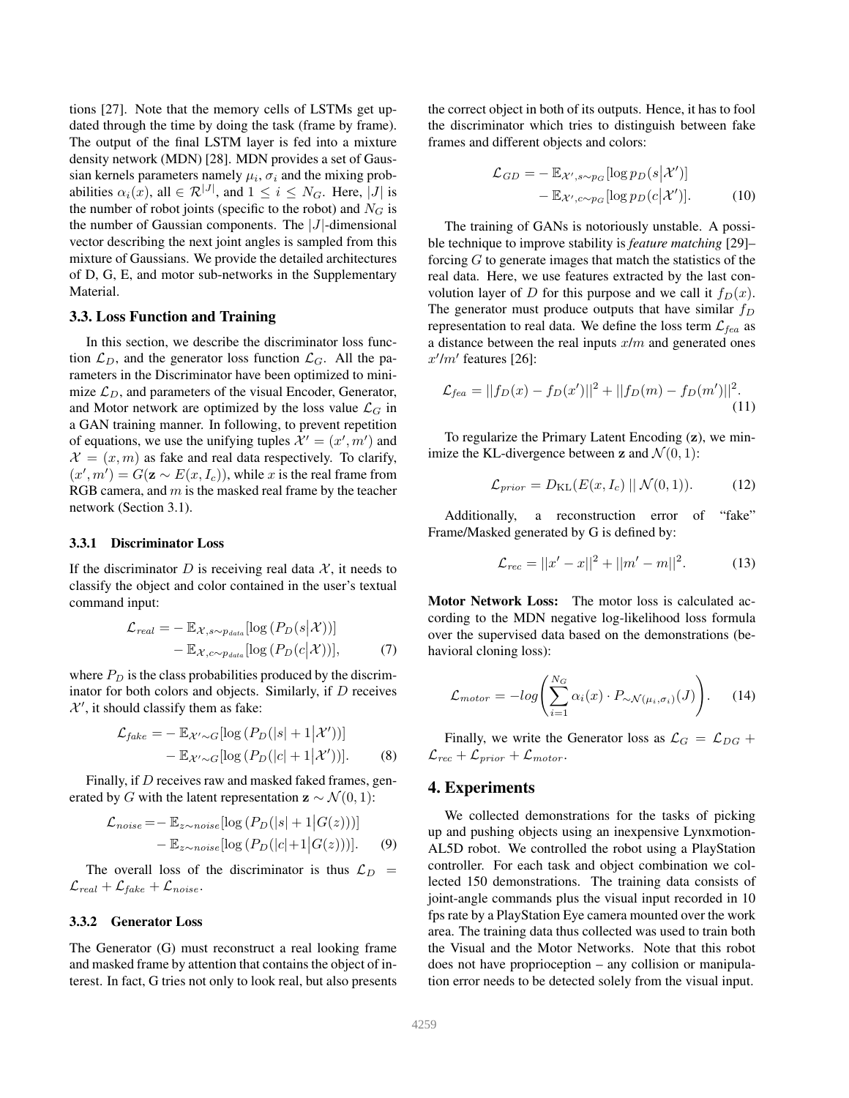tions [27]. Note that the memory cells of LSTMs get updated through the time by doing the task (frame by frame). The output of the final LSTM layer is fed into a mixture density network (MDN) [28]. MDN provides a set of Gaussian kernels parameters namely  $\mu_i$ ,  $\sigma_i$  and the mixing probabilities  $\alpha_i(x)$ , all  $\in \mathcal{R}^{|\mathcal{J}|}$ , and  $1 \leq i \leq N_G$ . Here,  $|\mathcal{J}|$  is the number of robot joints (specific to the robot) and  $N<sub>G</sub>$  is the number of Gaussian components. The  $|J|$ -dimensional vector describing the next joint angles is sampled from this mixture of Gaussians. We provide the detailed architectures of D, G, E, and motor sub-networks in the Supplementary Material.

#### 3.3. Loss Function and Training

In this section, we describe the discriminator loss function  $\mathcal{L}_D$ , and the generator loss function  $\mathcal{L}_G$ . All the parameters in the Discriminator have been optimized to minimize  $\mathcal{L}_D$ , and parameters of the visual Encoder, Generator, and Motor network are optimized by the loss value  $\mathcal{L}_G$  in a GAN training manner. In following, to prevent repetition of equations, we use the unifying tuples  $\mathcal{X}' = (x', m')$  and  $\mathcal{X} = (x, m)$  as fake and real data respectively. To clarify,  $(x', m') = G(\mathbf{z} \sim E(x, I_c))$ , while x is the real frame from RGB camera, and  $m$  is the masked real frame by the teacher network (Section 3.1).

#### 3.3.1 Discriminator Loss

If the discriminator  $D$  is receiving real data  $\mathcal{X}$ , it needs to classify the object and color contained in the user's textual command input:

$$
\mathcal{L}_{real} = -\mathbb{E}_{\mathcal{X}, s \sim p_{data}}[\log (P_D(s|\mathcal{X}))]
$$

$$
-\mathbb{E}_{\mathcal{X}, c \sim p_{data}}[\log (P_D(c|\mathcal{X}))], \tag{7}
$$

where  $P_D$  is the class probabilities produced by the discriminator for both colors and objects. Similarly, if  $D$  receives  $\mathcal{X}'$ , it should classify them as fake:

$$
\mathcal{L}_{fake} = -\mathbb{E}_{\mathcal{X}' \sim G} [\log (P_D(|s| + 1|\mathcal{X}'))]
$$

$$
-\mathbb{E}_{\mathcal{X}' \sim G} [\log (P_D(|c| + 1|\mathcal{X}'))]. \tag{8}
$$

Finally, if D receives raw and masked faked frames, generated by G with the latent representation  $z \sim \mathcal{N}(0, 1)$ :

$$
\mathcal{L}_{noise} = -\mathbb{E}_{z \sim noise} [\log (P_D(|s| + 1|G(z)))]
$$

$$
-\mathbb{E}_{z \sim noise} [\log (P_D(|c| + 1|G(z)))]. \tag{9}
$$

The overall loss of the discriminator is thus  $\mathcal{L}_D$  =  $\mathcal{L}_{real} + \mathcal{L}_{fake} + \mathcal{L}_{noise}.$ 

## 3.3.2 Generator Loss

The Generator (G) must reconstruct a real looking frame and masked frame by attention that contains the object of interest. In fact, G tries not only to look real, but also presents the correct object in both of its outputs. Hence, it has to fool the discriminator which tries to distinguish between fake frames and different objects and colors:

$$
\mathcal{L}_{GD} = -\mathbb{E}_{\mathcal{X}', s \sim p_G} [\log p_D(s|\mathcal{X}'])]
$$

$$
-\mathbb{E}_{\mathcal{X}', c \sim p_G} [\log p_D(c|\mathcal{X}')). \tag{10}
$$

The training of GANs is notoriously unstable. A possible technique to improve stability is *feature matching* [29]– forcing  $G$  to generate images that match the statistics of the real data. Here, we use features extracted by the last convolution layer of D for this purpose and we call it  $f_D(x)$ . The generator must produce outputs that have similar  $f_D$ representation to real data. We define the loss term  $\mathcal{L}_{fea}$  as a distance between the real inputs  $x/m$  and generated ones  $x'/m'$  features [26]:

$$
\mathcal{L}_{fea} = ||f_D(x) - f_D(x')||^2 + ||f_D(m) - f_D(m')||^2.
$$
\n(11)

To regularize the Primary Latent Encoding (z), we minimize the KL-divergence between z and  $\mathcal{N}(0, 1)$ :

$$
\mathcal{L}_{prior} = D_{\text{KL}}(E(x, I_c) \mid \mathcal{N}(0, 1)). \tag{12}
$$

Additionally, a reconstruction error of "fake" Frame/Masked generated by G is defined by:

$$
\mathcal{L}_{rec} = ||x' - x||^2 + ||m' - m||^2. \tag{13}
$$

Motor Network Loss: The motor loss is calculated according to the MDN negative log-likelihood loss formula over the supervised data based on the demonstrations (behavioral cloning loss):

$$
\mathcal{L}_{motor} = -log\left(\sum_{i=1}^{N_G} \alpha_i(x) \cdot P_{\sim \mathcal{N}(\mu_i, \sigma_i)}(J)\right). \tag{14}
$$

Finally, we write the Generator loss as  $\mathcal{L}_G = \mathcal{L}_{DG} +$  $\mathcal{L}_{rec} + \mathcal{L}_{prior} + \mathcal{L}_{motor}.$ 

# 4. Experiments

We collected demonstrations for the tasks of picking up and pushing objects using an inexpensive Lynxmotion-AL5D robot. We controlled the robot using a PlayStation controller. For each task and object combination we collected 150 demonstrations. The training data consists of joint-angle commands plus the visual input recorded in 10 fps rate by a PlayStation Eye camera mounted over the work area. The training data thus collected was used to train both the Visual and the Motor Networks. Note that this robot does not have proprioception – any collision or manipulation error needs to be detected solely from the visual input.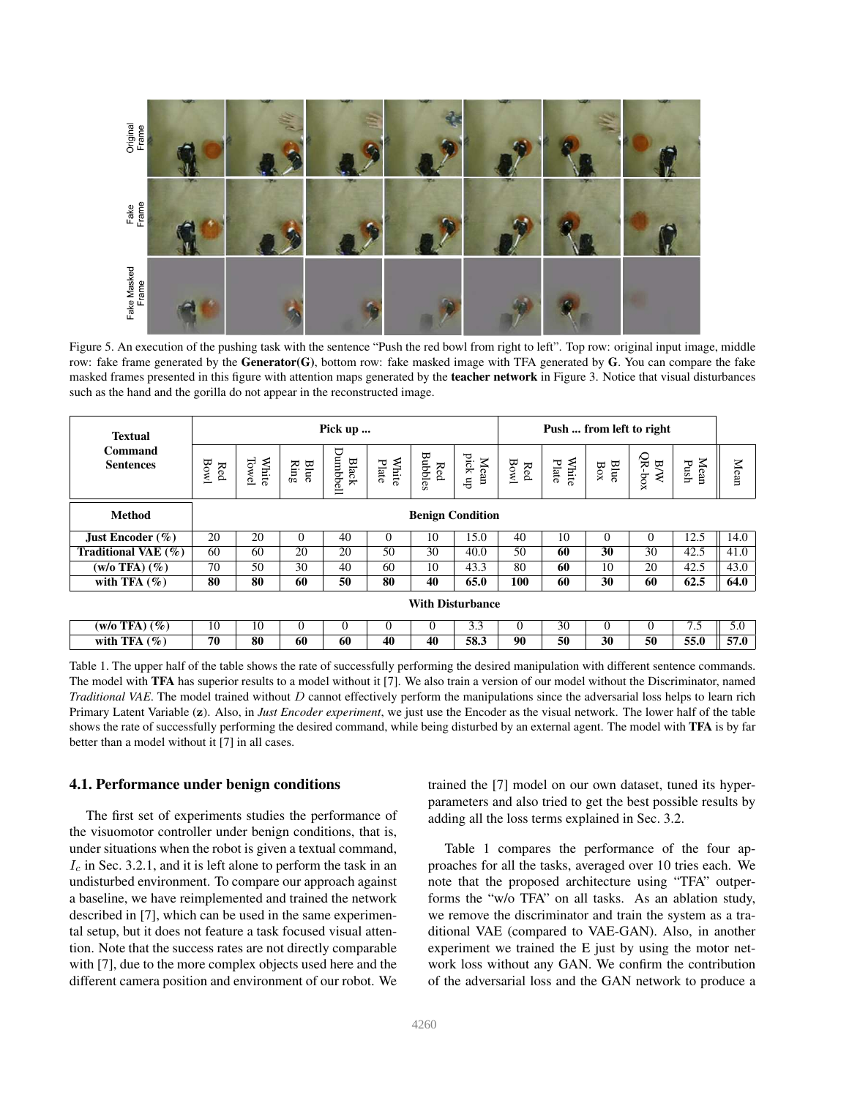

Figure 5. An execution of the pushing task with the sentence "Push the red bowl from right to left". Top row: original input image, middle row: fake frame generated by the Generator(G), bottom row: fake masked image with TFA generated by  $G$ . You can compare the fake masked frames presented in this figure with attention maps generated by the **teacher network** in Figure 3. Notice that visual disturbances such as the hand and the gorilla do not appear in the reconstructed image.

| <b>Textual</b><br>Command<br><b>Sentences</b> | Pick up                 |                |                      |                          |                |                                                                 |                 | Push  from left to right |                |                                  |                        |              |      |
|-----------------------------------------------|-------------------------|----------------|----------------------|--------------------------|----------------|-----------------------------------------------------------------|-----------------|--------------------------|----------------|----------------------------------|------------------------|--------------|------|
|                                               | $\mathbf{Bow}$<br>Red   | Towel<br>White | Blue<br>${\rm Ring}$ | Dumbbell<br><b>Black</b> | White<br>Plate | $\begin{array}{c} \mathrm{Red} \\ \mathrm{Bubbles} \end{array}$ | pick up<br>Mean | <b>Bowl</b><br>Red       | White<br>Plate | $\frac{\text{Blue}}{\text{Box}}$ | $QR-box$<br><b>B/W</b> | Mean<br>Push | Mean |
| <b>Method</b>                                 | <b>Benign Condition</b> |                |                      |                          |                |                                                                 |                 |                          |                |                                  |                        |              |      |
| Just Encoder $(\% )$                          | 20                      | 20             | $\Omega$             | 40                       | $\theta$       | 10                                                              | 15.0            | 40                       | 10             | $\Omega$                         | $\Omega$               | 12.5         | 14.0 |
| Traditional VAE $(\%)$                        | 60                      | 60             | 20                   | 20                       | 50             | 30                                                              | 40.0            | 50                       | 60             | 30                               | 30                     | 42.5         | 41.0 |
| $(w/o$ TFA $)$ $(\%)$                         | 70                      | 50             | 30                   | 40                       | 60             | 10                                                              | 43.3            | 80                       | 60             | 10                               | 20                     | 42.5         | 43.0 |
| with TFA $(\%)$                               | 80                      | 80             | 60                   | 50                       | 80             | 40                                                              | 65.0            | 100                      | 60             | 30                               | 60                     | 62.5         | 64.0 |
|                                               | <b>With Disturbance</b> |                |                      |                          |                |                                                                 |                 |                          |                |                                  |                        |              |      |
| $(w/o$ TFA $)$ $(\%)$                         | 10                      | 10             | $\Omega$             | 0                        | $\Omega$       | $\Omega$                                                        | 3.3             | 0                        | 30             | $\Omega$                         | $\Omega$               | 7.5          | 5.0  |
| with TFA $(\%)$                               | 70                      | 80             | 60                   | 60                       | 40             | 40                                                              | 58.3            | 90                       | 50             | 30                               | 50                     | 55.0         | 57.0 |

Table 1. The upper half of the table shows the rate of successfully performing the desired manipulation with different sentence commands. The model with TFA has superior results to a model without it [7]. We also train a version of our model without the Discriminator, named *Traditional VAE*. The model trained without D cannot effectively perform the manipulations since the adversarial loss helps to learn rich Primary Latent Variable (z). Also, in *Just Encoder experiment*, we just use the Encoder as the visual network. The lower half of the table shows the rate of successfully performing the desired command, while being disturbed by an external agent. The model with TFA is by far better than a model without it [7] in all cases.

# 4.1. Performance under benign conditions

The first set of experiments studies the performance of the visuomotor controller under benign conditions, that is, under situations when the robot is given a textual command,  $I_c$  in Sec. 3.2.1, and it is left alone to perform the task in an undisturbed environment. To compare our approach against a baseline, we have reimplemented and trained the network described in [7], which can be used in the same experimental setup, but it does not feature a task focused visual attention. Note that the success rates are not directly comparable with [7], due to the more complex objects used here and the different camera position and environment of our robot. We trained the [7] model on our own dataset, tuned its hyperparameters and also tried to get the best possible results by adding all the loss terms explained in Sec. 3.2.

Table 1 compares the performance of the four approaches for all the tasks, averaged over 10 tries each. We note that the proposed architecture using "TFA" outperforms the "w/o TFA" on all tasks. As an ablation study, we remove the discriminator and train the system as a traditional VAE (compared to VAE-GAN). Also, in another experiment we trained the E just by using the motor network loss without any GAN. We confirm the contribution of the adversarial loss and the GAN network to produce a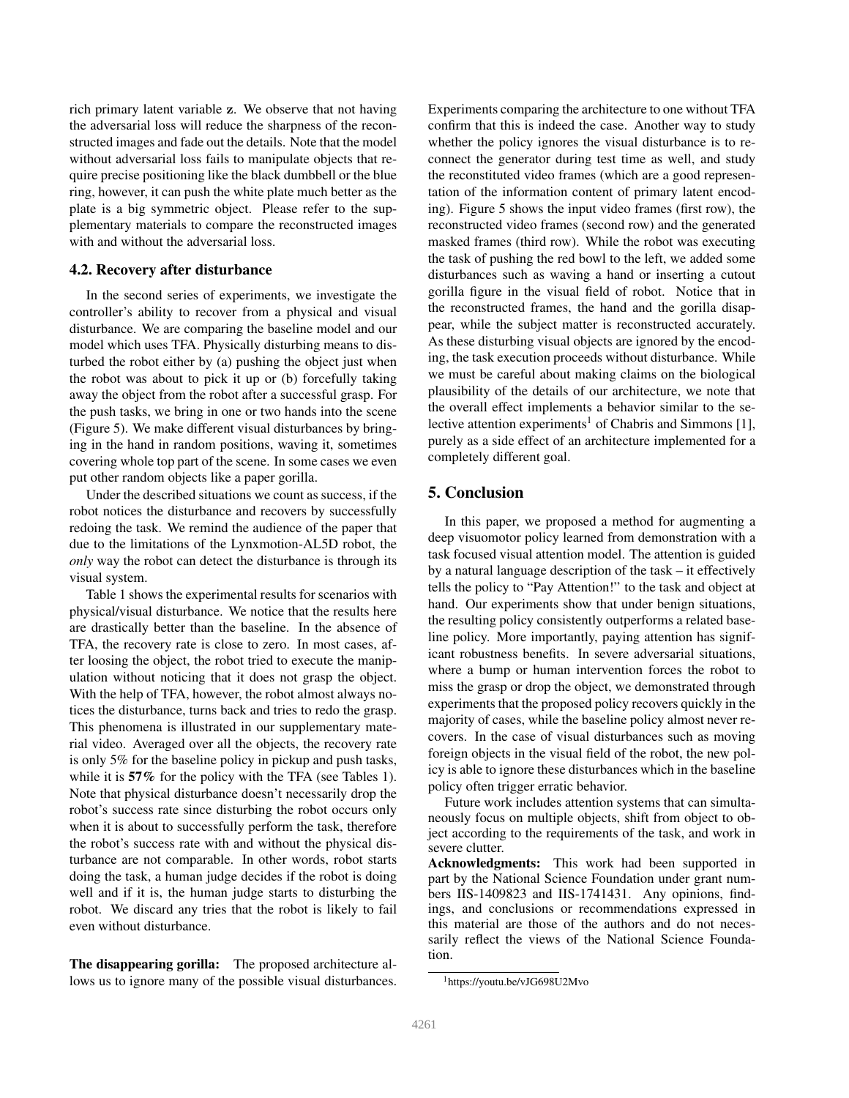rich primary latent variable z. We observe that not having the adversarial loss will reduce the sharpness of the reconstructed images and fade out the details. Note that the model without adversarial loss fails to manipulate objects that require precise positioning like the black dumbbell or the blue ring, however, it can push the white plate much better as the plate is a big symmetric object. Please refer to the supplementary materials to compare the reconstructed images with and without the adversarial loss.

#### 4.2. Recovery after disturbance

In the second series of experiments, we investigate the controller's ability to recover from a physical and visual disturbance. We are comparing the baseline model and our model which uses TFA. Physically disturbing means to disturbed the robot either by (a) pushing the object just when the robot was about to pick it up or (b) forcefully taking away the object from the robot after a successful grasp. For the push tasks, we bring in one or two hands into the scene (Figure 5). We make different visual disturbances by bringing in the hand in random positions, waving it, sometimes covering whole top part of the scene. In some cases we even put other random objects like a paper gorilla.

Under the described situations we count as success, if the robot notices the disturbance and recovers by successfully redoing the task. We remind the audience of the paper that due to the limitations of the Lynxmotion-AL5D robot, the *only* way the robot can detect the disturbance is through its visual system.

Table 1 shows the experimental results for scenarios with physical/visual disturbance. We notice that the results here are drastically better than the baseline. In the absence of TFA, the recovery rate is close to zero. In most cases, after loosing the object, the robot tried to execute the manipulation without noticing that it does not grasp the object. With the help of TFA, however, the robot almost always notices the disturbance, turns back and tries to redo the grasp. This phenomena is illustrated in our supplementary material video. Averaged over all the objects, the recovery rate is only 5% for the baseline policy in pickup and push tasks, while it is 57% for the policy with the TFA (see Tables 1). Note that physical disturbance doesn't necessarily drop the robot's success rate since disturbing the robot occurs only when it is about to successfully perform the task, therefore the robot's success rate with and without the physical disturbance are not comparable. In other words, robot starts doing the task, a human judge decides if the robot is doing well and if it is, the human judge starts to disturbing the robot. We discard any tries that the robot is likely to fail even without disturbance.

The disappearing gorilla: The proposed architecture allows us to ignore many of the possible visual disturbances. Experiments comparing the architecture to one without TFA confirm that this is indeed the case. Another way to study whether the policy ignores the visual disturbance is to reconnect the generator during test time as well, and study the reconstituted video frames (which are a good representation of the information content of primary latent encoding). Figure 5 shows the input video frames (first row), the reconstructed video frames (second row) and the generated masked frames (third row). While the robot was executing the task of pushing the red bowl to the left, we added some disturbances such as waving a hand or inserting a cutout gorilla figure in the visual field of robot. Notice that in the reconstructed frames, the hand and the gorilla disappear, while the subject matter is reconstructed accurately. As these disturbing visual objects are ignored by the encoding, the task execution proceeds without disturbance. While we must be careful about making claims on the biological plausibility of the details of our architecture, we note that the overall effect implements a behavior similar to the selective attention experiments<sup>1</sup> of Chabris and Simmons [1], purely as a side effect of an architecture implemented for a completely different goal.

# 5. Conclusion

In this paper, we proposed a method for augmenting a deep visuomotor policy learned from demonstration with a task focused visual attention model. The attention is guided by a natural language description of the task – it effectively tells the policy to "Pay Attention!" to the task and object at hand. Our experiments show that under benign situations, the resulting policy consistently outperforms a related baseline policy. More importantly, paying attention has significant robustness benefits. In severe adversarial situations, where a bump or human intervention forces the robot to miss the grasp or drop the object, we demonstrated through experiments that the proposed policy recovers quickly in the majority of cases, while the baseline policy almost never recovers. In the case of visual disturbances such as moving foreign objects in the visual field of the robot, the new policy is able to ignore these disturbances which in the baseline policy often trigger erratic behavior.

Future work includes attention systems that can simultaneously focus on multiple objects, shift from object to object according to the requirements of the task, and work in severe clutter.

Acknowledgments: This work had been supported in part by the National Science Foundation under grant numbers IIS-1409823 and IIS-1741431. Any opinions, findings, and conclusions or recommendations expressed in this material are those of the authors and do not necessarily reflect the views of the National Science Foundation.

<sup>1</sup>https://youtu.be/vJG698U2Mvo